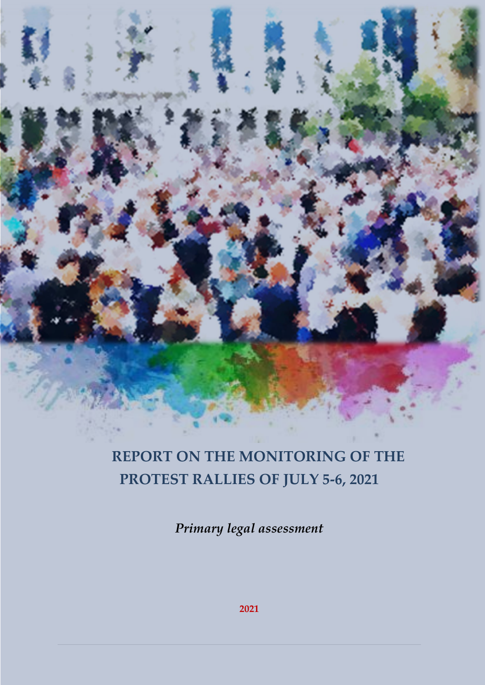# **REPORT ON THE MONITORING OF THE PROTEST RALLIES OF JULY 5-6, 2021**

*Primary legal assessment*

**2021**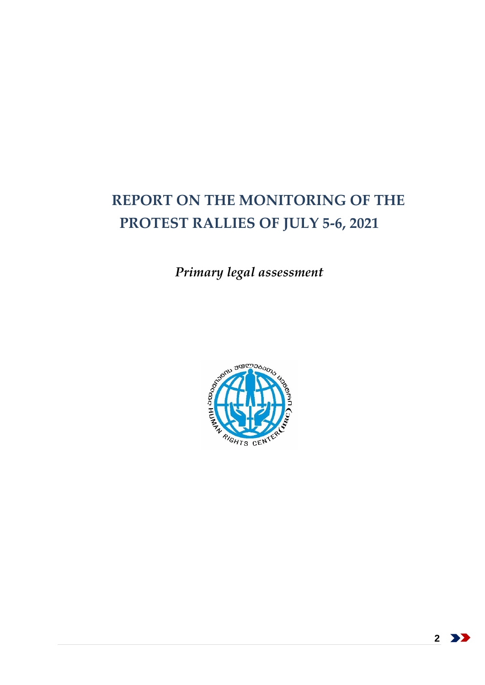# **REPORT ON THE MONITORING OF THE PROTEST RALLIES OF JULY 5-6, 2021**

*Primary legal assessment*



2 >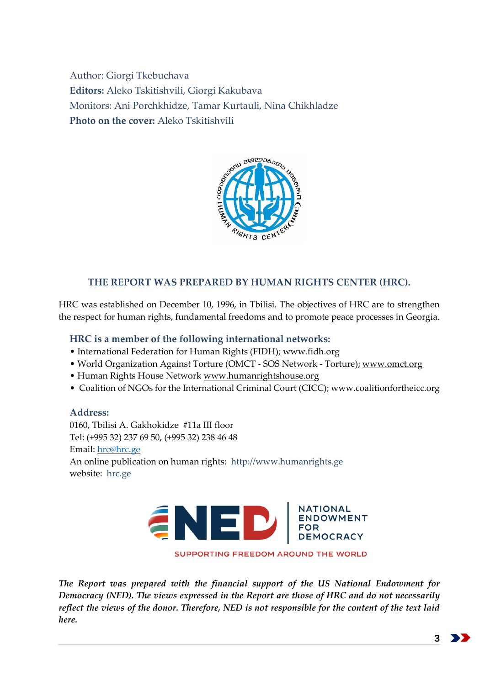Author: Giorgi Tkebuchava **Editors:** Aleko Tskitishvili, Giorgi Kakubava Monitors: Ani Porchkhidze, Tamar Kurtauli, Nina Chikhladze **Photo on the cover:** Aleko Tskitishvili



# **THE REPORT WAS PREPARED BY HUMAN RIGHTS CENTER (HRC).**

HRC was established on December 10, 1996, in Tbilisi. The objectives of HRC are to strengthen the respect for human rights, fundamental freedoms and to promote peace processes in Georgia.

### **HRC is a member of the following international networks:**

- International Federation for Human Rights (FIDH); [www.fidh.org](http://www.fidh.org/)
- World Organization Against Torture (OMCT SOS Network Torture); [www.omct.org](http://www.omct.org/)
- Human Rights House Network [www.humanrightshouse.org](http://www.humanrighshouse.org/)
- Coalition of NGOs for the International Criminal Court (CICC); www.coalitionfortheicc.org

**Address:** 0160, Tbilisi A. Gakhokidze #11a III floor Tel: (+995 32) 237 69 50, (+995 32) 238 46 48 Email: [hrc@hrc.ge](mailto:hrc@hrc.ge) An online publication on human rights: http://www.humanrights.ge website: hrc.ge



*The Report was prepared with the financial support of the US National Endowment for Democracy (NED). The views expressed in the Report are those of HRC and do not necessarily reflect the views of the donor. Therefore, NED is not responsible for the content of the text laid here.*

**3**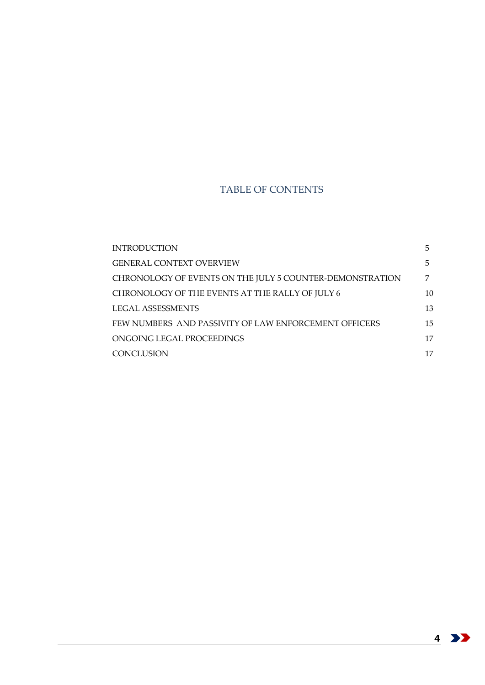## TABLE OF CONTENTS

| <b>INTRODUCTION</b>                                      | 5. |
|----------------------------------------------------------|----|
| <b>GENERAL CONTEXT OVERVIEW</b>                          | 5  |
| CHRONOLOGY OF EVENTS ON THE JULY 5 COUNTER-DEMONSTRATION | 7  |
| CHRONOLOGY OF THE EVENTS AT THE RALLY OF JULY 6          | 10 |
| LEGAL ASSESSMENTS                                        | 13 |
| FEW NUMBERS AND PASSIVITY OF LAW ENFORCEMENT OFFICERS    | 15 |
| ONGOING LEGAL PROCEEDINGS                                | 17 |
| <b>CONCLUSION</b>                                        | 17 |

4 >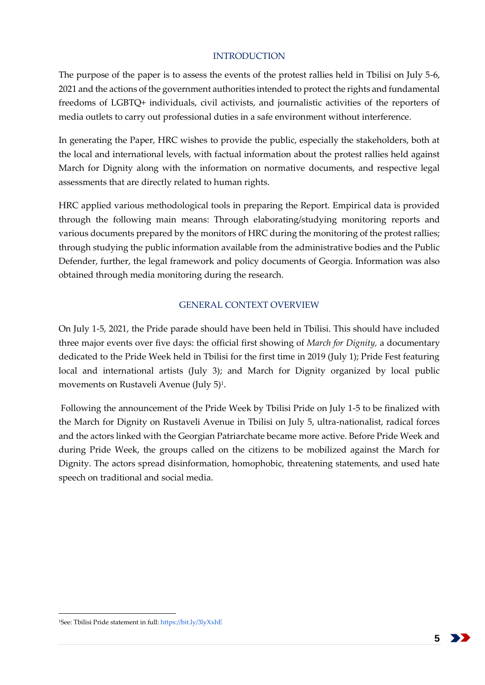#### INTRODUCTION

<span id="page-4-0"></span>The purpose of the paper is to assess the events of the protest rallies held in Tbilisi on July 5-6, 2021 and the actions of the government authorities intended to protect the rights and fundamental freedoms of LGBTQ+ individuals, civil activists, and journalistic activities of the reporters of media outlets to carry out professional duties in a safe environment without interference.

In generating the Paper, HRC wishes to provide the public, especially the stakeholders, both at the local and international levels, with factual information about the protest rallies held against March for Dignity along with the information on normative documents, and respective legal assessments that are directly related to human rights.

HRC applied various methodological tools in preparing the Report. Empirical data is provided through the following main means: Through elaborating/studying monitoring reports and various documents prepared by the monitors of HRC during the monitoring of the protest rallies; through studying the public information available from the administrative bodies and the Public Defender, further, the legal framework and policy documents of Georgia. Information was also obtained through media monitoring during the research.

## GENERAL CONTEXT OVERVIEW

<span id="page-4-1"></span>On July 1-5, 2021, the Pride parade should have been held in Tbilisi. This should have included three major events over five days: the official first showing of *March for Dignity,* a documentary dedicated to the Pride Week held in Tbilisi for the first time in 2019 (July 1); Pride Fest featuring local and international artists (July 3); and March for Dignity organized by local public movements on Rustaveli Avenue (July 5)<sup>1</sup>.

Following the announcement of the Pride Week by Tbilisi Pride on July 1-5 to be finalized with the March for Dignity on Rustaveli Avenue in Tbilisi on July 5, ultra-nationalist, radical forces and the actors linked with the Georgian Patriarchate became more active. Before Pride Week and during Pride Week, the groups called on the citizens to be mobilized against the March for Dignity. The actors spread disinformation, homophobic, threatening statements, and used hate speech on traditional and social media.

**5**

<sup>1</sup>See: Tbilisi Pride statement in full[: https://bit.ly/3lyXxhE](https://bit.ly/3lyXxhE)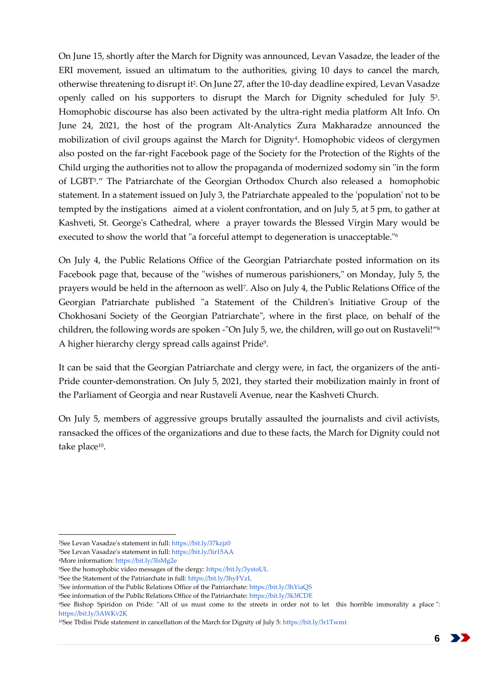On June 15, shortly after the March for Dignity was announced, Levan Vasadze, the leader of the ERI movement, issued an ultimatum to the authorities, giving 10 days to cancel the march, otherwise threatening to disrupt it<sup>2</sup> . On June 27, after the 10-day deadline expired, Levan Vasadze openly called on his supporters to disrupt the March for Dignity scheduled for July 5<sup>3</sup>. Homophobic discourse has also been activated by the ultra-right media platform Alt Info. On June 24, 2021, the host of the program Alt-Analytics Zura Makharadze announced the mobilization of civil groups against the March for Dignity<sup>4</sup>. Homophobic videos of clergymen also posted on the far-right Facebook page of the Society for the Protection of the Rights of the Child urging the authorities not to allow the propaganda of modernized sodomy sin "in the form of LGBT<sup>5</sup> ." The Patriarchate of the Georgian Orthodox Church also released a homophobic statement. In a statement issued on July 3, the Patriarchate appealed to the 'population' not to be tempted by the instigations aimed at a violent confrontation, and on July 5, at 5 pm, to gather at Kashveti, St. George's Cathedral, where a prayer towards the Blessed Virgin Mary would be executed to show the world that "a forceful attempt to degeneration is unacceptable."<sup>6</sup>

On July 4, the Public Relations Office of the Georgian Patriarchate posted information on its Facebook page that, because of the "wishes of numerous parishioners," on Monday, July 5, the prayers would be held in the afternoon as well<sup>7</sup> . Also on July 4, the Public Relations Office of the Georgian Patriarchate published "a Statement of the Children's Initiative Group of the Chokhosani Society of the Georgian Patriarchate", where in the first place, on behalf of the children, the following words are spoken -"On July 5, we, the children, will go out on Rustaveli!"<sup>8</sup> A higher hierarchy clergy spread calls against Pride<sup>9</sup> .

It can be said that the Georgian Patriarchate and clergy were, in fact, the organizers of the anti-Pride counter-demonstration. On July 5, 2021, they started their mobilization mainly in front of the Parliament of Georgia and near Rustaveli Avenue, near the Kashveti Church.

On July 5, members of aggressive groups brutally assaulted the journalists and civil activists, ransacked the offices of the organizations and due to these facts, the March for Dignity could not take place<sup>10</sup>.

-

<sup>9</sup>See Bishop Spiridon on Pride: "All of us must come to the streets in order not to let this horrible immorality a place ": <https://bit.ly/3AWKv2K>



<sup>2</sup>See Levan Vasadze's statement in full:<https://bit.ly/37kzjz0>

<sup>3</sup>See Levan Vasadze's statement in full:<https://bit.ly/3ir15AA>

<sup>4</sup>More information[: https://bit.ly/3lsMg2e](https://bit.ly/3lsMg2e)

<sup>5</sup>See the homophobic video messages of the clergy[: https://bit.ly/3ystoUL](https://bit.ly/3ystoUL)

<sup>6</sup>See the Statement of the Patriarchate in full:<https://bit.ly/3hyFVzL>

<sup>7</sup>See information of the Public Relations Office of the Patriarchate[: https://bit.ly/3hYiaQS](https://bit.ly/3hYiaQS)

<sup>8</sup>See information of the Public Relations Office of the Patriarchate[: https://bit.ly/3k3fCDE](https://bit.ly/3k3fCDE)

<sup>10</sup>See Tbilisi Pride statement in cancellation of the March for Dignity of July 5[: https://bit.ly/3r1Twmt](https://bit.ly/3r1Twmt)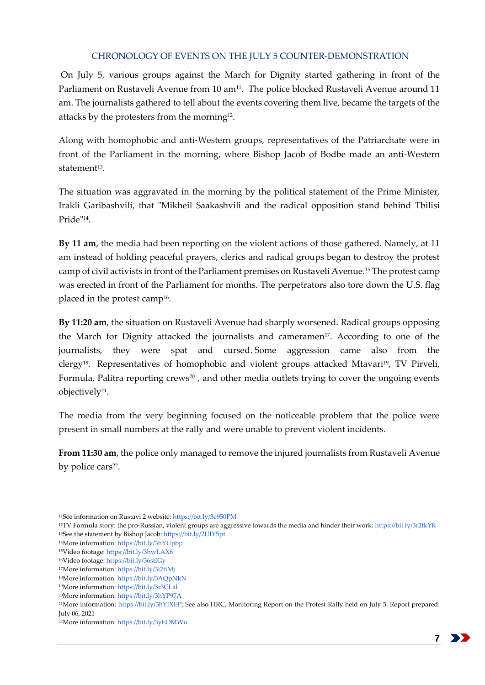#### <span id="page-6-0"></span>CHRONOLOGY OF EVENTS ON THE JULY 5 COUNTER-DEMONSTRATION

On July 5, various groups against the March for Dignity started gathering in front of the Parliament on Rustaveli Avenue from 10 am<sup>11</sup>. The police blocked Rustaveli Avenue around 11 am. The journalists gathered to tell about the events covering them live, became the targets of the attacks by the protesters from the morning<sup>12</sup>.

Along with homophobic and anti-Western groups, representatives of the Patriarchate were in front of the Parliament in the morning, where Bishop Jacob of Bodbe made an anti-Western statement<sup>13</sup>.

The situation was aggravated in the morning by the political statement of the Prime Minister, Irakli Garibashvili, that "Mikheil Saakashvili and the radical opposition stand behind Tbilisi Pride"<sup>14</sup> .

**By 11 am**, the media had been reporting on the violent actions of those gathered. Namely, at 11 am instead of holding peaceful prayers, clerics and radical groups began to destroy the protest camp of civil activists in front of the Parliament premises on Rustaveli Avenue.<sup>15</sup> The protest camp was erected in front of the Parliament for months. The perpetrators also tore down the U.S. flag placed in the protest camp $^{16}$ .

**By 11:20 am**, the situation on Rustaveli Avenue had sharply worsened. Radical groups opposing the March for Dignity attacked the journalists and cameramen<sup>17</sup>. According to one of the journalists, they were spat and cursed. Some aggression came also from the clergy<sup>18</sup>. Representatives of homophobic and violent groups attacked Mtavari<sup>19</sup>, TV Pirveli, Formula, Palitra reporting crews<sup>20</sup>, and other media outlets trying to cover the ongoing events objectively<sup>21</sup>.

The media from the very beginning focused on the noticeable problem that the police were present in small numbers at the rally and were unable to prevent violent incidents.

**From 11:30 am**, the police only managed to remove the injured journalists from Rustaveli Avenue by police cars<sup>22</sup>.

<sup>12</sup>TV Formula story: the pro-Russian, violent groups are aggressive towards the media and hinder their work[: https://bit.ly/3r2tkYR](https://bit.ly/3r2tkYR) <sup>13</sup>See the statement by Bishop Jacob[: https://bit.ly/2UIY5pt](https://bit.ly/2UIY5pt)

<sup>11</sup>See information on Rustavi 2 website[: https://bit.ly/3e950PM](https://bit.ly/3e950PM)

<sup>14</sup>More information[: https://bit.ly/3hYUpbp](https://bit.ly/3hYUpbp)

<sup>15</sup>Video footage[: https://bit.ly/3hwLAX6](https://bit.ly/3hwLAX6)

<sup>16</sup>Video footage[: https://bit.ly/36stIGy](https://bit.ly/36stIGy)

<sup>17</sup>More information[: https://bit.ly/3i2tiMj](https://bit.ly/3i2tiMj)

<sup>18</sup>More information[: https://bit.ly/3AQpNkN](https://bit.ly/3AQpNkN)

<sup>19</sup>More information[: https://bit.ly/3r3CLal](https://bit.ly/3r3CLal)

<sup>20</sup>More information[: https://bit.ly/3hYP97A](https://bit.ly/3hYP97A)

<sup>21</sup>More information: [https://bit.ly/3hYfXEP;](https://bit.ly/3hYfXEP) See also HRC, Monitoring Report on the Protest Rally held on July 5. Report prepared: July 06, 2021

<sup>22</sup>More information[: https://bit.ly/3yEOMWu](https://bit.ly/3yEOMWu)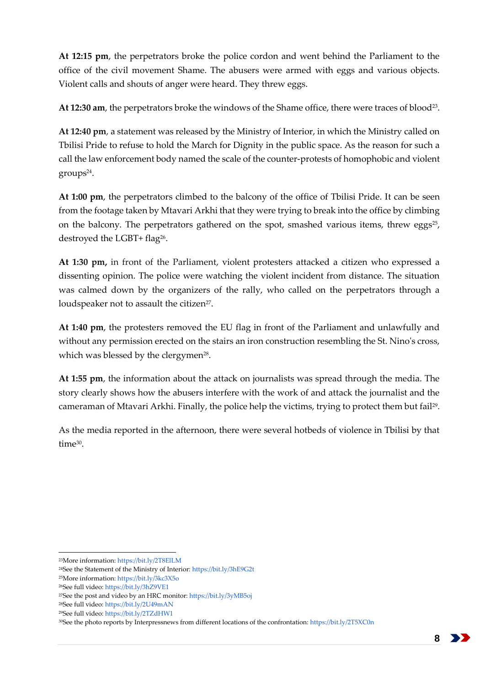**At 12:15 pm**, the perpetrators broke the police cordon and went behind the Parliament to the office of the civil movement Shame. The abusers were armed with eggs and various objects. Violent calls and shouts of anger were heard. They threw eggs.

At 12:30 am, the perpetrators broke the windows of the Shame office, there were traces of blood<sup>23</sup>.

**At 12:40 pm**, a statement was released by the Ministry of Interior, in which the Ministry called on Tbilisi Pride to refuse to hold the March for Dignity in the public space. As the reason for such a call the law enforcement body named the scale of the counter-protests of homophobic and violent groups<sup>24</sup> .

**At 1:00 pm**, the perpetrators climbed to the balcony of the office of Tbilisi Pride. It can be seen from the footage taken by Mtavari Arkhi that they were trying to break into the office by climbing on the balcony. The perpetrators gathered on the spot, smashed various items, threw eggs<sup>25</sup>, destroyed the LGBT+ flag<sup>26</sup>.

**At 1:30 pm,** in front of the Parliament, violent protesters attacked a citizen who expressed a dissenting opinion. The police were watching the violent incident from distance. The situation was calmed down by the organizers of the rally, who called on the perpetrators through a loudspeaker not to assault the citizen<sup>27</sup>.

**At 1:40 pm**, the protesters removed the EU flag in front of the Parliament and unlawfully and without any permission erected on the stairs an iron construction resembling the St. Nino's cross, which was blessed by the clergymen<sup>28</sup>.

**At 1:55 pm**, the information about the attack on journalists was spread through the media. The story clearly shows how the abusers interfere with the work of and attack the journalist and the cameraman of Mtavari Arkhi. Finally, the police help the victims, trying to protect them but fail<sup>29</sup> .

As the media reported in the afternoon, there were several hotbeds of violence in Tbilisi by that time<sup>30</sup>.

<sup>23</sup>More information[: https://bit.ly/2T8ElLM](https://bit.ly/2T8ElLM)

<sup>24</sup>See the Statement of the Ministry of Interior:<https://bit.ly/3hE9G2t>

<sup>25</sup>More information[: https://bit.ly/3kc3X5o](https://bit.ly/3kc3X5o)

<sup>26</sup>See full video[: https://bit.ly/3hZ9VE1](https://bit.ly/3hZ9VE1)

<sup>27</sup>See the post and video by an HRC monitor[: https://bit.ly/3yMB5oj](https://bit.ly/3yMB5oj)

<sup>28</sup>See full video[: https://bit.ly/2U49mAN](https://bit.ly/2U49mAN)

<sup>29</sup>See full video[: https://bit.ly/2TZdHW1](https://bit.ly/2TZdHW1)

<sup>30</sup>See the photo reports by Interpressnews from different locations of the confrontation[: https://bit.ly/2T5XC0n](https://bit.ly/2T5XC0n)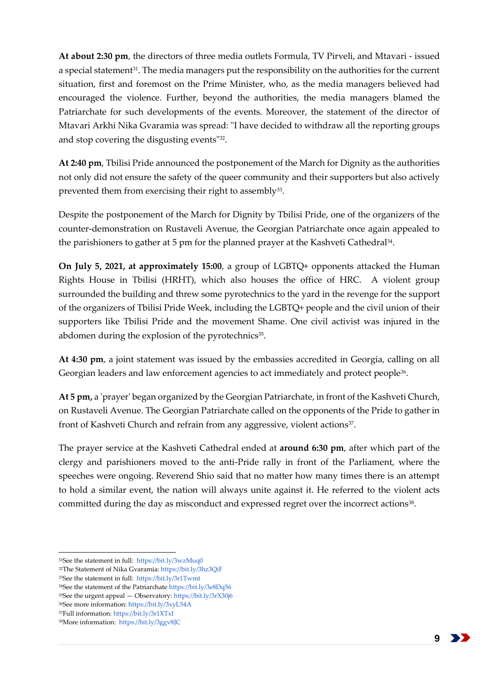**At about 2:30 pm**, the directors of three media outlets Formula, TV Pirveli, and Mtavari - issued a special statement<sup>31</sup>. The media managers put the responsibility on the authorities for the current situation, first and foremost on the Prime Minister, who, as the media managers believed had encouraged the violence. Further, beyond the authorities, the media managers blamed the Patriarchate for such developments of the events. Moreover, the statement of the director of Mtavari Arkhi Nika Gvaramia was spread: "I have decided to withdraw all the reporting groups and stop covering the disgusting events"<sup>32</sup>.

**At 2:40 pm**, Tbilisi Pride announced the postponement of the March for Dignity as the authorities not only did not ensure the safety of the queer community and their supporters but also actively prevented them from exercising their right to assembly $^{33}$ .

Despite the postponement of the March for Dignity by Tbilisi Pride, one of the organizers of the counter-demonstration on Rustaveli Avenue, the Georgian Patriarchate once again appealed to the parishioners to gather at 5 pm for the planned prayer at the Kashveti Cathedral<sup>34</sup>.

**On July 5, 2021, at approximately 15:00**, a group of LGBTQ+ opponents attacked the Human Rights House in Tbilisi (HRHT), which also houses the office of HRC. A violent group surrounded the building and threw some pyrotechnics to the yard in the revenge for the support of the organizers of Tbilisi Pride Week, including the LGBTQ+ people and the civil union of their supporters like Tbilisi Pride and the movement Shame. One civil activist was injured in the abdomen during the explosion of the pyrotechnics<sup>35</sup>.

**At 4:30 pm**, a joint statement was issued by the embassies accredited in Georgia, calling on all Georgian leaders and law enforcement agencies to act immediately and protect people<sup>36</sup>.

**At 5 pm,** a 'prayer' began organized by the Georgian Patriarchate, in front of the Kashveti Church, on Rustaveli Avenue. The Georgian Patriarchate called on the opponents of the Pride to gather in front of Kashveti Church and refrain from any aggressive, violent actions<sup>37</sup>.

The prayer service at the Kashveti Cathedral ended at **around 6:30 pm**, after which part of the clergy and parishioners moved to the anti-Pride rally in front of the Parliament, where the speeches were ongoing. Reverend Shio said that no matter how many times there is an attempt to hold a similar event, the nation will always unite against it. He referred to the violent acts committed during the day as misconduct and expressed regret over the incorrect actions<sup>38</sup>.

<sup>35</sup>See the urgent appeal — Observatory[: https://bit.ly/3rX30j6](https://bit.ly/3rX30j6)

<sup>31</sup>See the statement in full:<https://bit.ly/3wzMuq0>

<sup>32</sup>The Statement of Nika Gvaramia[: https://bit.ly/3hz3QiF](https://bit.ly/3hz3QiF)

<sup>33</sup>See the statement in full:<https://bit.ly/3r1Twmt>

<sup>34</sup>See the statement of the Patriarchat[e https://bit.ly/3e8Dq56](https://bit.ly/3e8Dq56)

<sup>36</sup>See more information[: https://bit.ly/3xyL54A](https://bit.ly/3xyL54A)

<sup>37</sup>Full information[: https://bit.ly/3r1XTxI](https://bit.ly/3r1XTxI) 38More information:<https://bit.ly/3ggv8JC>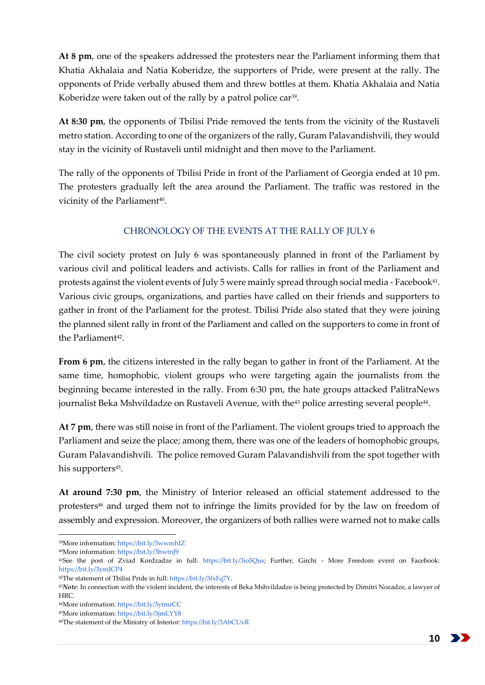**At 8 pm**, one of the speakers addressed the protesters near the Parliament informing them that Khatia Akhalaia and Natia Koberidze, the supporters of Pride, were present at the rally. The opponents of Pride verbally abused them and threw bottles at them. Khatia Akhalaia and Natia Koberidze were taken out of the rally by a patrol police car<sup>39</sup>.

**At 8:30 pm**, the opponents of Tbilisi Pride removed the tents from the vicinity of the Rustaveli metro station. According to one of the organizers of the rally, Guram Palavandishvili, they would stay in the vicinity of Rustaveli until midnight and then move to the Parliament.

The rally of the opponents of Tbilisi Pride in front of the Parliament of Georgia ended at 10 pm. The protesters gradually left the area around the Parliament. The traffic was restored in the vicinity of the Parliament<sup>40</sup>.

# CHRONOLOGY OF THE EVENTS AT THE RALLY OF JULY 6

<span id="page-9-0"></span>The civil society protest on July 6 was spontaneously planned in front of the Parliament by various civil and political leaders and activists. Calls for rallies in front of the Parliament and protests against the violent events of July 5 were mainly spread through social media - Facebook<sup>41</sup>. Various civic groups, organizations, and parties have called on their friends and supporters to gather in front of the Parliament for the protest. Tbilisi Pride also stated that they were joining the planned silent rally in front of the Parliament and called on the supporters to come in front of the Parliament<sup>42</sup>.

**From 6 pm**, the citizens interested in the rally began to gather in front of the Parliament. At the same time, homophobic, violent groups who were targeting again the journalists from the beginning became interested in the rally. From 6:30 pm, the hate groups attacked PalitraNews journalist Beka Mshvildadze on Rustaveli Avenue, with the<sup>43</sup> police arresting several people<sup>44</sup>.

**At 7 pm**, there was still noise in front of the Parliament. The violent groups tried to approach the Parliament and seize the place; among them, there was one of the leaders of homophobic groups, Guram Palavandishvili. The police removed Guram Palavandishvili from the spot together with his supporters<sup>45</sup>.

**At around 7:30 pm**, the Ministry of Interior released an official statement addressed to the protesters<sup>46</sup> and urged them not to infringe the limits provided for by the law on freedom of assembly and expression. Moreover, the organizers of both rallies were warned not to make calls

<sup>39</sup>More information[: https://bit.ly/3wwmhIZ](https://bit.ly/3wwmhIZ)

<sup>40</sup>More information[: https://bit.ly/3hwtnJ9](https://bit.ly/3hwtnJ9)

<sup>41</sup>See the post of Zviad Kordzadze in full: [https://bit.ly/3io5Qus;](https://bit.ly/3io5Qus) Further, Girchi - More Freedom event on Facebook: <https://bit.ly/3ymJCP4>

<sup>42</sup>The statement of Tbilisi Pride in full[: https://bit.ly/3fxFq7Y.](https://bit.ly/3fxFq7Y)

<sup>43</sup>*Note*: In connection with the violent incident, the interests of Beka Mshvildadze is being protected by Dimitri Nozadze, a lawyer of HRC.

<sup>44</sup>More information[: https://bit.ly/3ytmrCC](https://bit.ly/3ytmrCC)

<sup>45</sup>More information[: https://bit.ly/3jmLYY8](https://bit.ly/3jmLYY8)

<sup>46</sup>The statement of the Ministry of Interior[: https://bit.ly/3AbCUvR](https://bit.ly/3AbCUvR)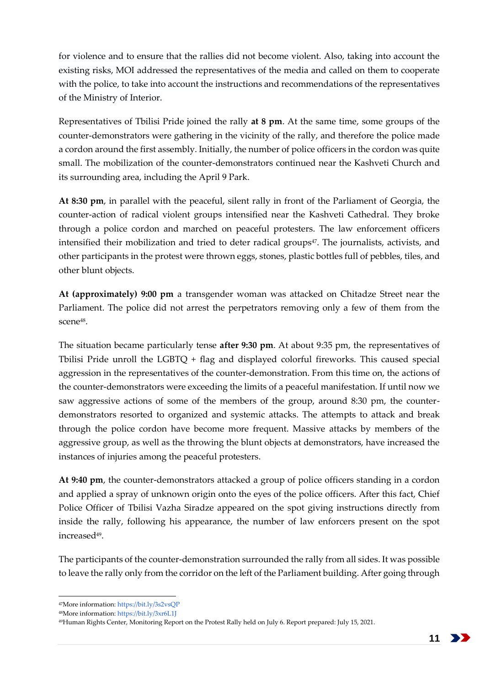for violence and to ensure that the rallies did not become violent. Also, taking into account the existing risks, MOI addressed the representatives of the media and called on them to cooperate with the police, to take into account the instructions and recommendations of the representatives of the Ministry of Interior.

Representatives of Tbilisi Pride joined the rally **at 8 pm**. At the same time, some groups of the counter-demonstrators were gathering in the vicinity of the rally, and therefore the police made a cordon around the first assembly. Initially, the number of police officers in the cordon was quite small. The mobilization of the counter-demonstrators continued near the Kashveti Church and its surrounding area, including the April 9 Park.

**At 8:30 pm**, in parallel with the peaceful, silent rally in front of the Parliament of Georgia, the counter-action of radical violent groups intensified near the Kashveti Cathedral. They broke through a police cordon and marched on peaceful protesters. The law enforcement officers intensified their mobilization and tried to deter radical groups<sup>47</sup>. The journalists, activists, and other participants in the protest were thrown eggs, stones, plastic bottles full of pebbles, tiles, and other blunt objects.

**At (approximately) 9:00 pm** a transgender woman was attacked on Chitadze Street near the Parliament. The police did not arrest the perpetrators removing only a few of them from the scene<sup>48</sup> .

The situation became particularly tense **after 9:30 pm**. At about 9:35 pm, the representatives of Tbilisi Pride unroll the LGBTQ + flag and displayed colorful fireworks. This caused special aggression in the representatives of the counter-demonstration. From this time on, the actions of the counter-demonstrators were exceeding the limits of a peaceful manifestation. If until now we saw aggressive actions of some of the members of the group, around 8:30 pm, the counterdemonstrators resorted to organized and systemic attacks. The attempts to attack and break through the police cordon have become more frequent. Massive attacks by members of the aggressive group, as well as the throwing the blunt objects at demonstrators, have increased the instances of injuries among the peaceful protesters.

**At 9:40 pm**, the counter-demonstrators attacked a group of police officers standing in a cordon and applied a spray of unknown origin onto the eyes of the police officers. After this fact, Chief Police Officer of Tbilisi Vazha Siradze appeared on the spot giving instructions directly from inside the rally, following his appearance, the number of law enforcers present on the spot increased<sup>49</sup> .

The participants of the counter-demonstration surrounded the rally from all sides. It was possible to leave the rally only from the corridor on the left of the Parliament building. After going through

<sup>-</sup><sup>47</sup>More information[: https://bit.ly/3s2vsQP](https://bit.ly/3s2vsQP)

<sup>48</sup>More information[: https://bit.ly/3xr6L1J](https://bit.ly/3xr6L1J)

<sup>49</sup>Human Rights Center, Monitoring Report on the Protest Rally held on July 6. Report prepared: July 15, 2021.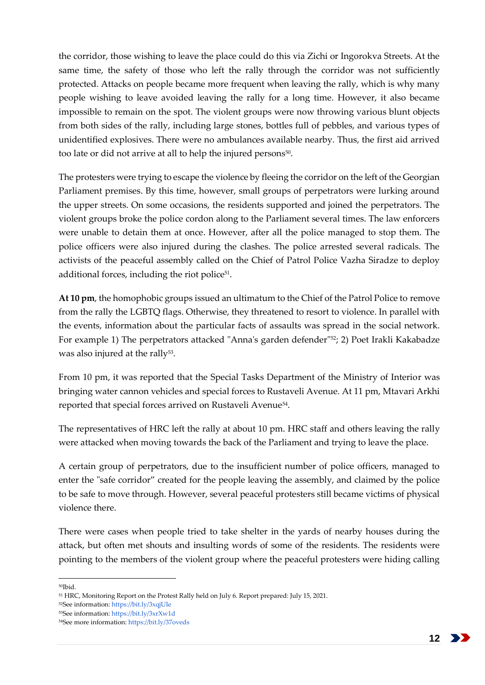the corridor, those wishing to leave the place could do this via Zichi or Ingorokva Streets. At the same time, the safety of those who left the rally through the corridor was not sufficiently protected. Attacks on people became more frequent when leaving the rally, which is why many people wishing to leave avoided leaving the rally for a long time. However, it also became impossible to remain on the spot. The violent groups were now throwing various blunt objects from both sides of the rally, including large stones, bottles full of pebbles, and various types of unidentified explosives. There were no ambulances available nearby. Thus, the first aid arrived too late or did not arrive at all to help the injured persons<sup>50</sup>.

The protesters were trying to escape the violence by fleeing the corridor on the left of the Georgian Parliament premises. By this time, however, small groups of perpetrators were lurking around the upper streets. On some occasions, the residents supported and joined the perpetrators. The violent groups broke the police cordon along to the Parliament several times. The law enforcers were unable to detain them at once. However, after all the police managed to stop them. The police officers were also injured during the clashes. The police arrested several radicals. The activists of the peaceful assembly called on the Chief of Patrol Police Vazha Siradze to deploy additional forces, including the riot police<sup>51</sup>.

**At 10 pm**, the homophobic groups issued an ultimatum to the Chief of the Patrol Police to remove from the rally the LGBTQ flags. Otherwise, they threatened to resort to violence. In parallel with the events, information about the particular facts of assaults was spread in the social network. For example 1) The perpetrators attacked "Anna's garden defender"<sup>52</sup>; 2) Poet Irakli Kakabadze was also injured at the rally<sup>53</sup>.

From 10 pm, it was reported that the Special Tasks Department of the Ministry of Interior was bringing water cannon vehicles and special forces to Rustaveli Avenue. At 11 pm, Mtavari Arkhi reported that special forces arrived on Rustaveli Avenue<sup>54</sup> .

The representatives of HRC left the rally at about 10 pm. HRC staff and others leaving the rally were attacked when moving towards the back of the Parliament and trying to leave the place.

A certain group of perpetrators, due to the insufficient number of police officers, managed to enter the "safe corridor" created for the people leaving the assembly, and claimed by the police to be safe to move through. However, several peaceful protesters still became victims of physical violence there.

There were cases when people tried to take shelter in the yards of nearby houses during the attack, but often met shouts and insulting words of some of the residents. The residents were pointing to the members of the violent group where the peaceful protesters were hiding calling

<sup>50</sup>Ibid.

<sup>51</sup> HRC, Monitoring Report on the Protest Rally held on July 6. Report prepared: July 15, 2021.

<sup>52</sup>See information: <https://bit.ly/3xqjUIe>

<sup>53</sup>See information: <https://bit.ly/3xrXw1d>

<sup>54</sup>See more information[: https://bit.ly/37oveds](https://bit.ly/37oveds)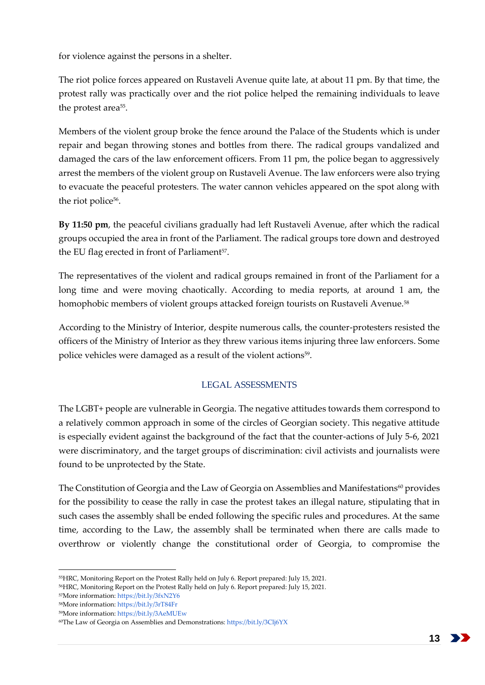for violence against the persons in a shelter.

The riot police forces appeared on Rustaveli Avenue quite late, at about 11 pm. By that time, the protest rally was practically over and the riot police helped the remaining individuals to leave the protest area<sup>55</sup>.

Members of the violent group broke the fence around the Palace of the Students which is under repair and began throwing stones and bottles from there. The radical groups vandalized and damaged the cars of the law enforcement officers. From 11 pm, the police began to aggressively arrest the members of the violent group on Rustaveli Avenue. The law enforcers were also trying to evacuate the peaceful protesters. The water cannon vehicles appeared on the spot along with the riot police<sup>56</sup>.

**By 11:50 pm**, the peaceful civilians gradually had left Rustaveli Avenue, after which the radical groups occupied the area in front of the Parliament. The radical groups tore down and destroyed the EU flag erected in front of Parliament<sup>57</sup>.

The representatives of the violent and radical groups remained in front of the Parliament for a long time and were moving chaotically. According to media reports, at around 1 am, the homophobic members of violent groups attacked foreign tourists on Rustaveli Avenue.<sup>58</sup>

According to the Ministry of Interior, despite numerous calls, the counter-protesters resisted the officers of the Ministry of Interior as they threw various items injuring three law enforcers. Some police vehicles were damaged as a result of the violent actions<sup>59</sup>.

# LEGAL ASSESSMENTS

<span id="page-12-0"></span>The LGBT+ people are vulnerable in Georgia. The negative attitudes towards them correspond to a relatively common approach in some of the circles of Georgian society. This negative attitude is especially evident against the background of the fact that the counter-actions of July 5-6, 2021 were discriminatory, and the target groups of discrimination: civil activists and journalists were found to be unprotected by the State.

The Constitution of Georgia and the Law of Georgia on Assemblies and Manifestations<sup>60</sup> provides for the possibility to cease the rally in case the protest takes an illegal nature, stipulating that in such cases the assembly shall be ended following the specific rules and procedures. At the same time, according to the Law, the assembly shall be terminated when there are calls made to overthrow or violently change the constitutional order of Georgia, to compromise the

<sup>55</sup>HRC, Monitoring Report on the Protest Rally held on July 6. Report prepared: July 15, 2021.

<sup>56</sup>HRC, Monitoring Report on the Protest Rally held on July 6. Report prepared: July 15, 2021.

<sup>57</sup>More information[: https://bit.ly/3fxN2Y6](https://bit.ly/3fxN2Y6)

<sup>58</sup>More information[: https://bit.ly/3rT84Fr](https://bit.ly/3rT84Fr)

<sup>59</sup>More information[: https://bit.ly/3AeMUEw](https://bit.ly/3AeMUEw)

<sup>60</sup>The Law of Georgia on Assemblies and Demonstrations: <https://bit.ly/3Clj6YX>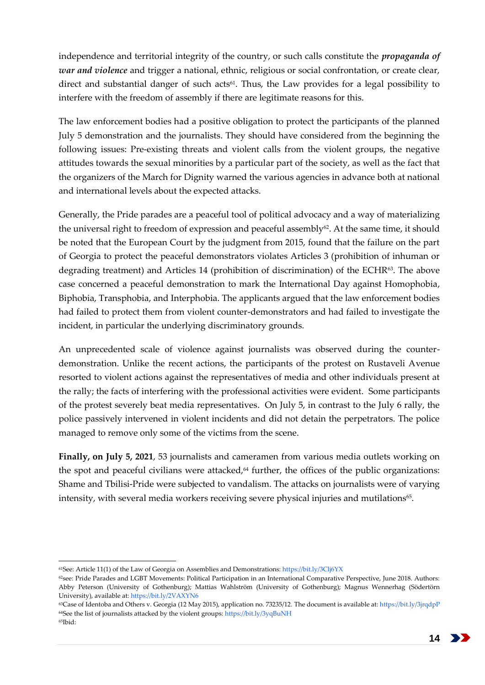independence and territorial integrity of the country, or such calls constitute the *propaganda of war and violence* and trigger a national, ethnic, religious or social confrontation, or create clear, direct and substantial danger of such acts<sup>61</sup>. Thus, the Law provides for a legal possibility to interfere with the freedom of assembly if there are legitimate reasons for this.

The law enforcement bodies had a positive obligation to protect the participants of the planned July 5 demonstration and the journalists. They should have considered from the beginning the following issues: Pre-existing threats and violent calls from the violent groups, the negative attitudes towards the sexual minorities by a particular part of the society, as well as the fact that the organizers of the March for Dignity warned the various agencies in advance both at national and international levels about the expected attacks.

Generally, the Pride parades are a peaceful tool of political advocacy and a way of materializing the universal right to freedom of expression and peaceful assembly<sup>62</sup>. At the same time, it should be noted that the European Court by the judgment from 2015, found that the failure on the part of Georgia to protect the peaceful demonstrators violates Articles 3 (prohibition of inhuman or degrading treatment) and Articles 14 (prohibition of discrimination) of the ECHR $63$ . The above case concerned a peaceful demonstration to mark the International Day against Homophobia, Biphobia, Transphobia, and Interphobia. The applicants argued that the law enforcement bodies had failed to protect them from violent counter-demonstrators and had failed to investigate the incident, in particular the underlying discriminatory grounds.

An unprecedented scale of violence against journalists was observed during the counterdemonstration. Unlike the recent actions, the participants of the protest on Rustaveli Avenue resorted to violent actions against the representatives of media and other individuals present at the rally; the facts of interfering with the professional activities were evident. Some participants of the protest severely beat media representatives. On July 5, in contrast to the July 6 rally, the police passively intervened in violent incidents and did not detain the perpetrators. The police managed to remove only some of the victims from the scene.

**Finally, on July 5, 2021**, 53 journalists and cameramen from various media outlets working on the spot and peaceful civilians were attacked, $64$  further, the offices of the public organizations: Shame and Tbilisi-Pride were subjected to vandalism. The attacks on journalists were of varying intensity, with several media workers receiving severe physical injuries and mutilations $^{65}$ .

14 >

<sup>-</sup><sup>61</sup>See: Article 11(1) of the Law of Georgia on Assemblies and Demonstrations[: https://bit.ly/3Clj6YX](https://bit.ly/3Clj6YX)

<sup>&</sup>lt;sup>62</sup>see: Pride Parades and LGBT Movements: Political Participation in an International Comparative Perspective, June 2018. Authors: Abby Peterson (University of Gothenburg); Mattias Wahlström (University of Gothenburg); Magnus Wennerhag (Södertörn University), available at[: https://bit.ly/2VAXYN6](https://bit.ly/2VAXYN6)

<sup>63</sup>Case of Identoba and Others v. Georgia (12 May 2015), application no. 73235/12. The document is available at[: https://bit.ly/3jrqdpP](https://bit.ly/3jrqdpP)  $64$ See the list of journalists attacked by the violent groups[: https://bit.ly/3yqBuNH](https://bit.ly/3yqBuNH) 65Ibid: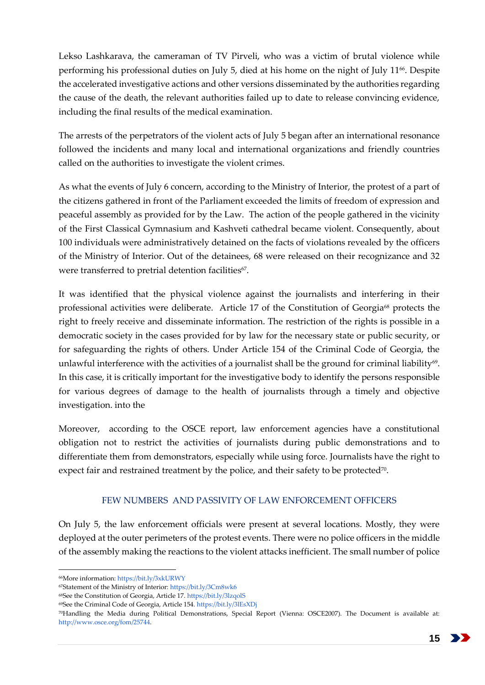Lekso Lashkarava, the cameraman of TV Pirveli, who was a victim of brutal violence while performing his professional duties on July 5, died at his home on the night of July 11<sup>66</sup>. Despite the accelerated investigative actions and other versions disseminated by the authorities regarding the cause of the death, the relevant authorities failed up to date to release convincing evidence, including the final results of the medical examination.

The arrests of the perpetrators of the violent acts of July 5 began after an international resonance followed the incidents and many local and international organizations and friendly countries called on the authorities to investigate the violent crimes.

As what the events of July 6 concern, according to the Ministry of Interior, the protest of a part of the citizens gathered in front of the Parliament exceeded the limits of freedom of expression and peaceful assembly as provided for by the Law. The action of the people gathered in the vicinity of the First Classical Gymnasium and Kashveti cathedral became violent. Consequently, about 100 individuals were administratively detained on the facts of violations revealed by the officers of the Ministry of Interior. Out of the detainees, 68 were released on their recognizance and 32 were transferred to pretrial detention facilities<sup>67</sup>.

It was identified that the physical violence against the journalists and interfering in their professional activities were deliberate. Article 17 of the Constitution of Georgia<sup>68</sup> protects the right to freely receive and disseminate information. The restriction of the rights is possible in a democratic society in the cases provided for by law for the necessary state or public security, or for safeguarding the rights of others. Under Article 154 of the Criminal Code of Georgia, the unlawful interference with the activities of a journalist shall be the ground for criminal liability<sup>69</sup>. In this case, it is critically important for the investigative body to identify the persons responsible for various degrees of damage to the health of journalists through a timely and objective investigation. into the

Moreover, according to the OSCE report, law enforcement agencies have a constitutional obligation not to restrict the activities of journalists during public demonstrations and to differentiate them from demonstrators, especially while using force. Journalists have the right to expect fair and restrained treatment by the police, and their safety to be protected $^{70}$ .

### FEW NUMBERS AND PASSIVITY OF LAW ENFORCEMENT OFFICERS

<span id="page-14-0"></span>On July 5, the law enforcement officials were present at several locations. Mostly, they were deployed at the outer perimeters of the protest events. There were no police officers in the middle of the assembly making the reactions to the violent attacks inefficient. The small number of police

<sup>66</sup>More information[: https://bit.ly/3xkURWY](https://bit.ly/3xkURWY)

<sup>67</sup>Statement of the Ministry of Interior: <https://bit.ly/3Cm8wk6>

<sup>68</sup>See the Constitution of Georgia, Article 17[. https://bit.ly/3lzqolS](https://bit.ly/3lzqolS)

<sup>69</sup>See the Criminal Code of Georgia, Article 154[. https://bit.ly/3lEsXDj](https://bit.ly/3lEsXDj)

<sup>70</sup>Handling the Media during Political Demonstrations, Special Report (Vienna: OSCE2007). The Document is available at: [http://www.osce.org/fom/25744.](http://www.osce.org/fom/25744)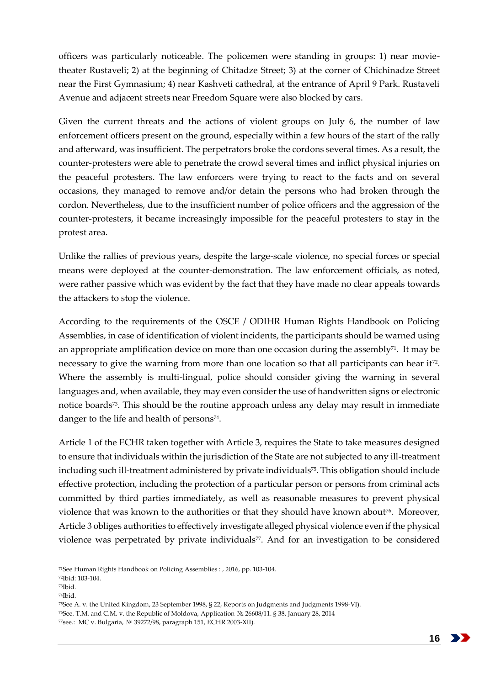officers was particularly noticeable. The policemen were standing in groups: 1) near movietheater Rustaveli; 2) at the beginning of Chitadze Street; 3) at the corner of Chichinadze Street near the First Gymnasium; 4) near Kashveti cathedral, at the entrance of April 9 Park. Rustaveli Avenue and adjacent streets near Freedom Square were also blocked by cars.

Given the current threats and the actions of violent groups on July 6, the number of law enforcement officers present on the ground, especially within a few hours of the start of the rally and afterward, was insufficient. The perpetrators broke the cordons several times. As a result, the counter-protesters were able to penetrate the crowd several times and inflict physical injuries on the peaceful protesters. The law enforcers were trying to react to the facts and on several occasions, they managed to remove and/or detain the persons who had broken through the cordon. Nevertheless, due to the insufficient number of police officers and the aggression of the counter-protesters, it became increasingly impossible for the peaceful protesters to stay in the protest area.

Unlike the rallies of previous years, despite the large-scale violence, no special forces or special means were deployed at the counter-demonstration. The law enforcement officials, as noted, were rather passive which was evident by the fact that they have made no clear appeals towards the attackers to stop the violence.

According to the requirements of the OSCE / ODIHR Human Rights Handbook on Policing Assemblies, in case of identification of violent incidents, the participants should be warned using an appropriate amplification device on more than one occasion during the assembly $71$ . It may be necessary to give the warning from more than one location so that all participants can hear it<sup>72</sup>. Where the assembly is multi-lingual, police should consider giving the warning in several languages and, when available, they may even consider the use of handwritten signs or electronic notice boards73. This should be the routine approach unless any delay may result in immediate danger to the life and health of persons $74$ .

Article 1 of the ECHR taken together with Article 3, requires the State to take measures designed to ensure that individuals within the jurisdiction of the State are not subjected to any ill-treatment including such ill-treatment administered by private individuals<sup>75</sup>. This obligation should include effective protection, including the protection of a particular person or persons from criminal acts committed by third parties immediately, as well as reasonable measures to prevent physical violence that was known to the authorities or that they should have known about<sup>76</sup>. Moreover, Article 3 obliges authorities to effectively investigate alleged physical violence even if the physical violence was perpetrated by private individuals<sup>77</sup>. And for an investigation to be considered

<sup>71</sup>See Human Rights Handbook on Policing Assemblies : , 2016, pp. 103-104.

<sup>72</sup>Ibid: 103-104.

<sup>73</sup>Ibid.

<sup>74</sup>Ibid.

<sup>75</sup>See A. v. the United Kingdom, 23 September 1998, § 22, Reports on Judgments and Judgments 1998-VI).

<sup>76</sup>See. T.M. and C.M. v. the Republic of Moldova, Application № 26608/11. § 38. January 28, 2014

<sup>77</sup>see.: MC v. Bulgaria, № 39272/98, paragraph 151, ECHR 2003-XII).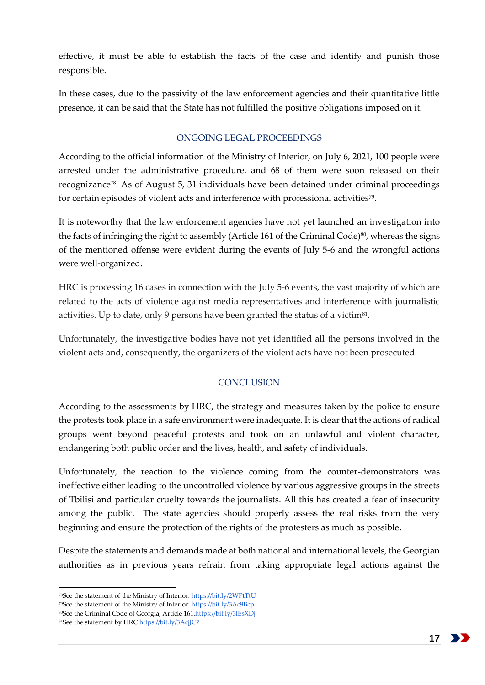effective, it must be able to establish the facts of the case and identify and punish those responsible.

In these cases, due to the passivity of the law enforcement agencies and their quantitative little presence, it can be said that the State has not fulfilled the positive obligations imposed on it.

## ONGOING LEGAL PROCEEDINGS

<span id="page-16-0"></span>According to the official information of the Ministry of Interior, on July 6, 2021, 100 people were arrested under the administrative procedure, and 68 of them were soon released on their recognizance<sup>78</sup>. As of August 5, 31 individuals have been detained under criminal proceedings for certain episodes of violent acts and interference with professional activities<sup>79</sup>.

It is noteworthy that the law enforcement agencies have not yet launched an investigation into the facts of infringing the right to assembly (Article 161 of the Criminal Code)<sup>80</sup>, whereas the signs of the mentioned offense were evident during the events of July 5-6 and the wrongful actions were well-organized.

HRC is processing 16 cases in connection with the July 5-6 events, the vast majority of which are related to the acts of violence against media representatives and interference with journalistic activities. Up to date, only 9 persons have been granted the status of a victim<sup>81</sup>.

Unfortunately, the investigative bodies have not yet identified all the persons involved in the violent acts and, consequently, the organizers of the violent acts have not been prosecuted.

# **CONCLUSION**

<span id="page-16-1"></span>According to the assessments by HRC, the strategy and measures taken by the police to ensure the protests took place in a safe environment were inadequate. It is clear that the actions of radical groups went beyond peaceful protests and took on an unlawful and violent character, endangering both public order and the lives, health, and safety of individuals.

Unfortunately, the reaction to the violence coming from the counter-demonstrators was ineffective either leading to the uncontrolled violence by various aggressive groups in the streets of Tbilisi and particular cruelty towards the journalists. All this has created a fear of insecurity among the public. The state agencies should properly assess the real risks from the very beginning and ensure the protection of the rights of the protesters as much as possible.

Despite the statements and demands made at both national and international levels, the Georgian authorities as in previous years refrain from taking appropriate legal actions against the

<sup>78</sup>See the statement of the Ministry of Interior: <https://bit.ly/2WPtTtU>

<sup>79</sup>See the statement of the Ministry of Interior: <https://bit.ly/3Ac9Bcp>

<sup>80</sup>See the Criminal Code of Georgia, Article 16[1.https://bit.ly/3lEsXDj](https://bit.ly/3lEsXDj)

<sup>81</sup>See the statement by HR[C https://bit.ly/3AcjJC7](https://bit.ly/3AcjJC7)